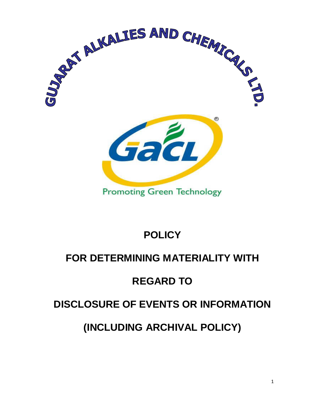

# **POLICY**

# **FOR DETERMINING MATERIALITY WITH**

# **REGARD TO**

# **DISCLOSURE OF EVENTS OR INFORMATION**

# **(INCLUDING ARCHIVAL POLICY)**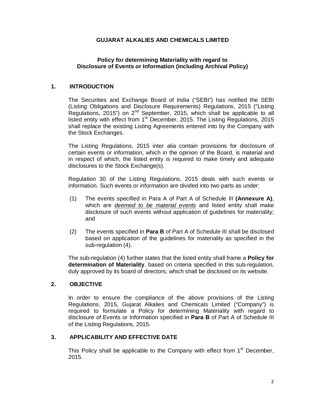# **GUJARAT ALKALIES AND CHEMICALS LIMITED**

## **Policy for determining Materiality with regard to Disclosure of Events or Information (including Archival Policy)**

### **1. INTRODUCTION**

The Securities and Exchange Board of India ("SEBI") has notified the SEBI (Listing Obligations and Disclosure Requirements) Regulations, 2015 ("Listing Regulations, 2015") on 2<sup>nd</sup> September, 2015, which shall be applicable to all listed entity with effect from  $1<sup>st</sup>$  December, 2015. The Listing Regulations, 2015 shall replace the existing Listing Agreements entered into by the Company with the Stock Exchanges.

The Listing Regulations, 2015 inter alia contain provisions for disclosure of certain events or information, which in the opinion of the Board, is material and in respect of which, the listed entity is required to make timely and adequate disclosures to the Stock Exchange(s).

Regulation 30 of the Listing Regulations, 2015 deals with such events or information. Such events or information are divided into two parts as under:

- (1) The events specified in Para A of Part A of Schedule III **(Annexure A)**, which are deemed to be material events and listed entity shall make disclosure of such events without application of guidelines for materiality; and
- (2) The events specified in **Para B** of Part A of Schedule III shall be disclosed based on application of the guidelines for materiality as specified in the sub-regulation (4).

The sub-regulation (4) further states that the listed entity shall frame a **Policy for determination of Materiality**, based on criteria specified in this sub-regulation, duly approved by its board of directors, which shall be disclosed on its website.

### **2. OBJECTIVE**

In order to ensure the compliance of the above provisions of the Listing Regulations, 2015, Gujarat Alkalies and Chemicals Limited ("Company") is required to formulate a Policy for determining Materiality with regard to disclosure of Events or Information specified in **Para B** of Part A of Schedule III of the Listing Regulations, 2015.

# **3. APPLICABILITY AND EFFECTIVE DATE**

This Policy shall be applicable to the Company with effect from 1<sup>st</sup> December, 2015.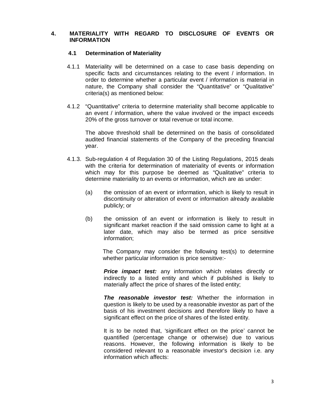#### **4. MATERIALITY WITH REGARD TO DISCLOSURE OF EVENTS OR INFORMATION**

#### **4.1 Determination of Materiality**

- 4.1.1 Materiality will be determined on a case to case basis depending on specific facts and circumstances relating to the event / information. In order to determine whether a particular event / information is material in nature, the Company shall consider the "Quantitative" or "Qualitative" criteria(s) as mentioned below:
- 4.1.2 "Quantitative" criteria to determine materiality shall become applicable to an event / information, where the value involved or the impact exceeds 20% of the gross turnover or total revenue or total income.

The above threshold shall be determined on the basis of consolidated audited financial statements of the Company of the preceding financial year.

- 4.1.3. Sub-regulation 4 of Regulation 30 of the Listing Regulations, 2015 deals with the criteria for determination of materiality of events or information which may for this purpose be deemed as "Qualitative" criteria to determine materiality to an events or information, which are as under:
	- (a) the omission of an event or information, which is likely to result in discontinuity or alteration of event or information already available publicly; or
	- (b) the omission of an event or information is likely to result in significant market reaction if the said omission came to light at a later date, which may also be termed as price sensitive information;

The Company may consider the following test(s) to determine whether particular information is price sensitive:-

**Price impact test:** any information which relates directly or indirectly to a listed entity and which if published is likely to materially affect the price of shares of the listed entity;

**The reasonable investor test:** Whether the information in question is likely to be used by a reasonable investor as part of the basis of his investment decisions and therefore likely to have a significant effect on the price of shares of the listed entity.

It is to be noted that, 'significant effect on the price' cannot be quantified (percentage change or otherwise) due to various reasons. However, the following information is likely to be considered relevant to a reasonable investor's decision i.e. any information which affects: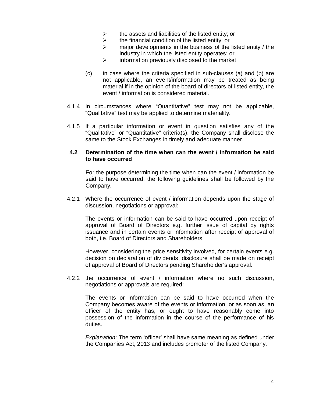- $\triangleright$  the assets and liabilities of the listed entity; or
- $\triangleright$  the financial condition of the listed entity; or
- $\triangleright$  major developments in the business of the listed entity / the industry in which the listed entity operates; or
- $\triangleright$  information previously disclosed to the market.
- (c) in case where the criteria specified in sub-clauses (a) and (b) are not applicable, an event/information may be treated as being material if in the opinion of the board of directors of listed entity, the event / information is considered material.
- 4.1.4 In circumstances where "Quantitative" test may not be applicable, "Qualitative" test may be applied to determine materiality.
- 4.1.5 If a particular information or event in question satisfies any of the "Qualitative" or "Quantitative" criteria(s), the Company shall disclose the same to the Stock Exchanges in timely and adequate manner.

#### **4.2 Determination of the time when can the event / information be said to have occurred**

For the purpose determining the time when can the event / information be said to have occurred, the following guidelines shall be followed by the Company.

4.2.1 Where the occurrence of event / information depends upon the stage of discussion, negotiations or approval:

The events or information can be said to have occurred upon receipt of approval of Board of Directors e.g. further issue of capital by rights issuance and in certain events or information after receipt of approval of both, i.e. Board of Directors and Shareholders.

However, considering the price sensitivity involved, for certain events e.g. decision on declaration of dividends, disclosure shall be made on receipt of approval of Board of Directors pending Shareholder's approval.

4.2.2 the occurrence of event / information where no such discussion, negotiations or approvals are required:

The events or information can be said to have occurred when the Company becomes aware of the events or information, or as soon as, an officer of the entity has, or ought to have reasonably come into possession of the information in the course of the performance of his duties.

Explanation: The term 'officer' shall have same meaning as defined under the Companies Act, 2013 and includes promoter of the listed Company.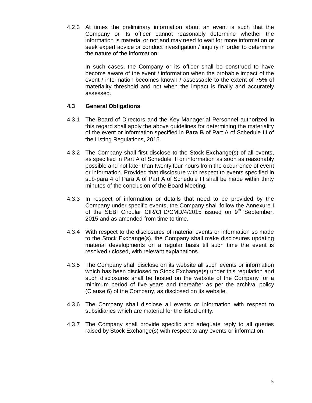4.2.3 At times the preliminary information about an event is such that the Company or its officer cannot reasonably determine whether the information is material or not and may need to wait for more information or seek expert advice or conduct investigation / inquiry in order to determine the nature of the information:

In such cases, the Company or its officer shall be construed to have become aware of the event / information when the probable impact of the event / information becomes known / assessable to the extent of 75% of materiality threshold and not when the impact is finally and accurately assessed.

# **4.3 General Obligations**

- 4.3.1 The Board of Directors and the Key Managerial Personnel authorized in this regard shall apply the above guidelines for determining the materiality of the event or information specified in **Para B** of Part A of Schedule III of the Listing Regulations, 2015.
- 4.3.2 The Company shall first disclose to the Stock Exchange(s) of all events, as specified in Part A of Schedule III or information as soon as reasonably possible and not later than twenty four hours from the occurrence of event or information. Provided that disclosure with respect to events specified in sub-para 4 of Para A of Part A of Schedule III shall be made within thirty minutes of the conclusion of the Board Meeting.
- 4.3.3 In respect of information or details that need to be provided by the Company under specific events, the Company shall follow the Annexure I of the SEBI Circular CIR/CFD/CMD/4/2015 issued on  $9<sup>th</sup>$  September, 2015 and as amended from time to time.
- 4.3.4 With respect to the disclosures of material events or information so made to the Stock Exchange(s), the Company shall make disclosures updating material developments on a regular basis till such time the event is resolved / closed, with relevant explanations.
- 4.3.5 The Company shall disclose on its website all such events or information which has been disclosed to Stock Exchange(s) under this regulation and such disclosures shall be hosted on the website of the Company for a minimum period of five years and thereafter as per the archival policy (Clause 6) of the Company, as disclosed on its website.
- 4.3.6 The Company shall disclose all events or information with respect to subsidiaries which are material for the listed entity.
- 4.3.7 The Company shall provide specific and adequate reply to all queries raised by Stock Exchange(s) with respect to any events or information.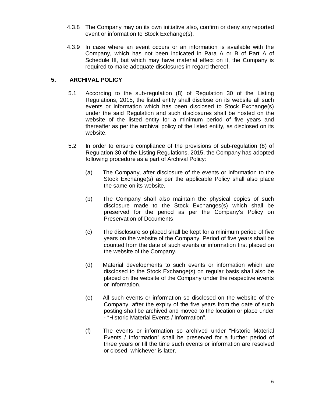- 4.3.8 The Company may on its own initiative also, confirm or deny any reported event or information to Stock Exchange(s).
- 4.3.9 In case where an event occurs or an information is available with the Company, which has not been indicated in Para A or B of Part A of Schedule III, but which may have material effect on it, the Company is required to make adequate disclosures in regard thereof.

# **5. ARCHIVAL POLICY**

- 5.1 According to the sub-regulation (8) of Regulation 30 of the Listing Regulations, 2015, the listed entity shall disclose on its website all such events or information which has been disclosed to Stock Exchange(s) under the said Regulation and such disclosures shall be hosted on the website of the listed entity for a minimum period of five years and thereafter as per the archival policy of the listed entity, as disclosed on its website.
- 5.2 In order to ensure compliance of the provisions of sub-regulation (8) of Regulation 30 of the Listing Regulations, 2015, the Company has adopted following procedure as a part of Archival Policy:
	- (a) The Company, after disclosure of the events or information to the Stock Exchange(s) as per the applicable Policy shall also place the same on its website.
	- (b) The Company shall also maintain the physical copies of such disclosure made to the Stock Exchanges(s) which shall be preserved for the period as per the Company's Policy on Preservation of Documents.
	- (c) The disclosure so placed shall be kept for a minimum period of five years on the website of the Company. Period of five years shall be counted from the date of such events or information first placed on the website of the Company.
	- (d) Material developments to such events or information which are disclosed to the Stock Exchange(s) on regular basis shall also be placed on the website of the Company under the respective events or information.
	- (e) All such events or information so disclosed on the website of the Company, after the expiry of the five years from the date of such posting shall be archived and moved to the location or place under - "Historic Material Events / Information".
	- (f) The events or information so archived under "Historic Material Events / Information" shall be preserved for a further period of three years or till the time such events or information are resolved or closed, whichever is later.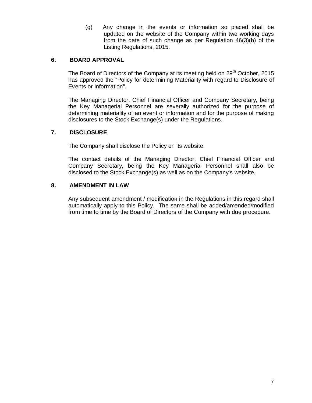(g) Any change in the events or information so placed shall be updated on the website of the Company within two working days from the date of such change as per Regulation 46(3)(b) of the Listing Regulations, 2015.

# **6. BOARD APPROVAL**

The Board of Directors of the Company at its meeting held on 29<sup>th</sup> October, 2015 has approved the "Policy for determining Materiality with regard to Disclosure of Events or Information".

The Managing Director, Chief Financial Officer and Company Secretary, being the Key Managerial Personnel are severally authorized for the purpose of determining materiality of an event or information and for the purpose of making disclosures to the Stock Exchange(s) under the Regulations.

# **7. DISCLOSURE**

The Company shall disclose the Policy on its website.

The contact details of the Managing Director, Chief Financial Officer and Company Secretary, being the Key Managerial Personnel shall also be disclosed to the Stock Exchange(s) as well as on the Company's website.

### **8. AMENDMENT IN LAW**

Any subsequent amendment / modification in the Regulations in this regard shall automatically apply to this Policy. The same shall be added/amended/modified from time to time by the Board of Directors of the Company with due procedure.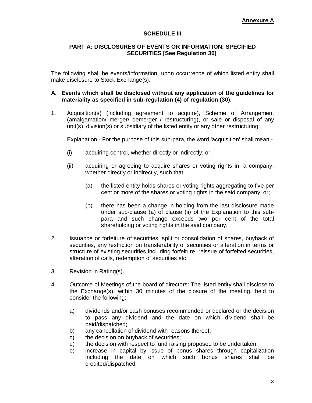# **SCHEDULE III**

### **PART A: DISCLOSURES OF EVENTS OR INFORMATION: SPECIFIED SECURITIES [See Regulation 30]**

The following shall be events/information, upon occurrence of which listed entity shall make disclosure to Stock Exchange(s):

#### **A. Events which shall be disclosed without any application of the guidelines for materiality as specified in sub-regulation (4) of regulation (30):**

1. Acquisition(s) (including agreement to acquire), Scheme of Arrangement (amalgamation/ merger/ demerger / restructuring), or sale or disposal of any unit(s), division(s) or subsidiary of the listed entity or any other restructuring.

Explanation.- For the purpose of this sub-para, the word 'acquisition' shall mean,-

- (i) acquiring control, whether directly or indirectly; or,
- (ii) acquiring or agreeing to acquire shares or voting rights in, a company, whether directly or indirectly, such that -
	- (a) the listed entity holds shares or voting rights aggregating to five per cent or more of the shares or voting rights in the said company, or;
	- (b) there has been a change in holding from the last disclosure made under sub-clause (a) of clause (ii) of the Explanation to this subpara and such change exceeds two per cent of the total shareholding or voting rights in the said company.
- 2. Issuance or forfeiture of securities, split or consolidation of shares, buyback of securities, any restriction on transferability of securities or alteration in terms or structure of existing securities including forfeiture, reissue of forfeited securities, alteration of calls, redemption of securities etc.
- 3. Revision in Rating(s).
- 4. Outcome of Meetings of the board of directors: The listed entity shall disclose to the Exchange(s), within 30 minutes of the closure of the meeting, held to consider the following:
	- a) dividends and/or cash bonuses recommended or declared or the decision to pass any dividend and the date on which dividend shall be paid/dispatched;
	- b) any cancellation of dividend with reasons thereof;
	- c) the decision on buyback of securities;
	- d) the decision with respect to fund raising proposed to be undertaken
	- e) increase in capital by issue of bonus shares through capitalization including the date on which such bonus shares shall be credited/dispatched;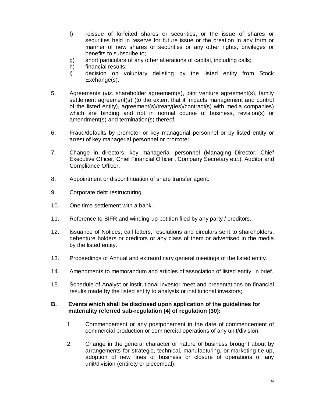- f) reissue of forfeited shares or securities, or the issue of shares or securities held in reserve for future issue or the creation in any form or manner of new shares or securities or any other rights, privileges or benefits to subscribe to;
- g) short particulars of any other alterations of capital, including calls;
- h) financial results;
- i) decision on voluntary delisting by the listed entity from Stock Exchange(s).
- 5. Agreements (viz. shareholder agreement(s), joint venture agreement(s), family settlement agreement(s) (to the extent that it impacts management and control of the listed entity), agreement(s)/treaty(ies)/contract(s) with media companies) which are binding and not in normal course of business, revision(s) or amendment(s) and termination(s) thereof.
- 6. Fraud/defaults by promoter or key managerial personnel or by listed entity or arrest of key managerial personnel or promoter.
- 7. Change in directors, key managerial personnel (Managing Director, Chief Executive Officer, Chief Financial Officer , Company Secretary etc.), Auditor and Compliance Officer.
- 8. Appointment or discontinuation of share transfer agent.
- 9. Corporate debt restructuring.
- 10. One time settlement with a bank.
- 11. Reference to BIFR and winding-up petition filed by any party / creditors.
- 12. Issuance of Notices, call letters, resolutions and circulars sent to shareholders, debenture holders or creditors or any class of them or advertised in the media by the listed entity.
- 13. Proceedings of Annual and extraordinary general meetings of the listed entity.
- 14. Amendments to memorandum and articles of association of listed entity, in brief.
- 15. Schedule of Analyst or institutional investor meet and presentations on financial results made by the listed entity to analysts or institutional investors;

### **B. Events which shall be disclosed upon application of the guidelines for materiality referred sub-regulation (4) of regulation (30):**

- 1. Commencement or any postponement in the date of commencement of commercial production or commercial operations of any unit/division.
- 2. Change in the general character or nature of business brought about by arrangements for strategic, technical, manufacturing, or marketing tie-up, adoption of new lines of business or closure of operations of any unit/division (entirety or piecemeal).